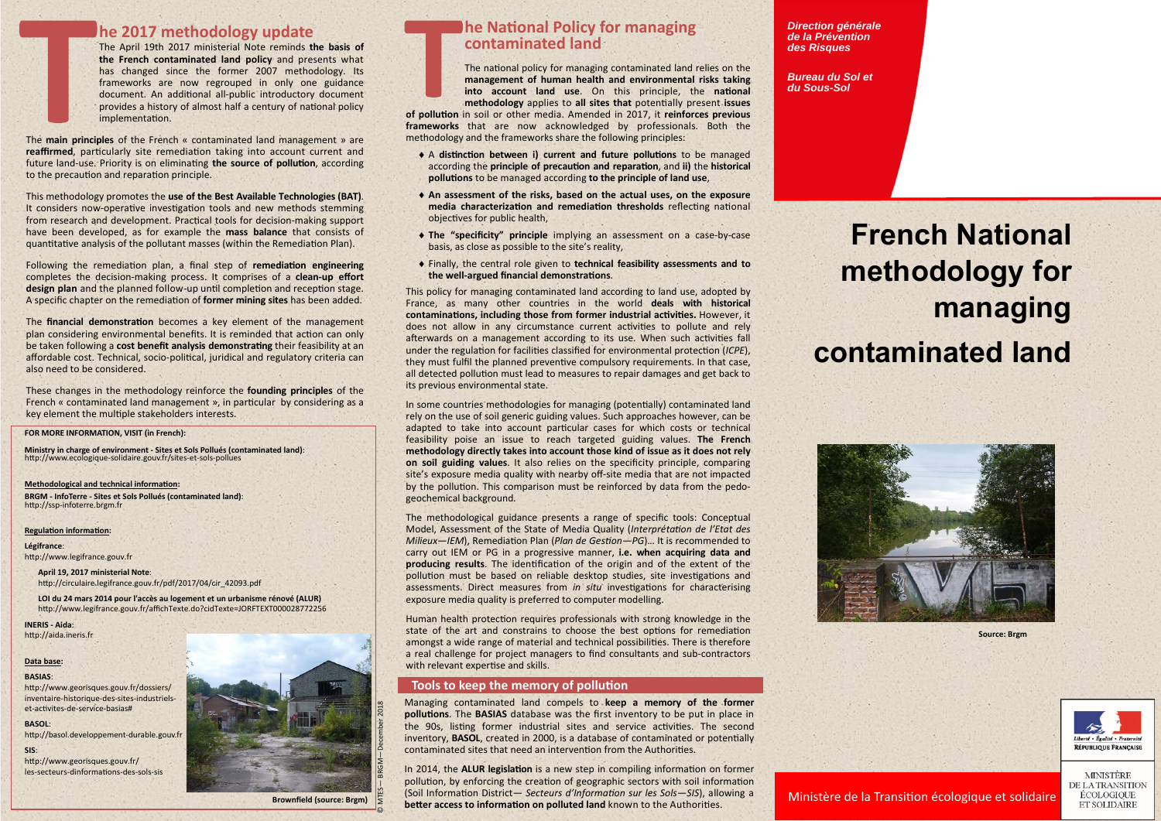# **he 2017 methodology update**

The April 19th 2017 ministerial Note reminds **the basis of the French contaminated land policy** and presents what has changed since the former 2007 methodology. Its frameworks are now regrouped in only one guidance document. An additional all-public introductory document provides a history of almost half a century of national policy implementation.

The **main principles** of the French « contaminated land management » are **reaffirmed**, particularly site remediation taking into account current and future land-use. Priority is on eliminating the source of pollution, according to the precaution and reparation principle.

This methodology promotes the **use of the Best Available Technologies (BAT)**. It considers now-operative investigation tools and new methods stemming from research and development. Practical tools for decision-making support have been developed, as for example the **mass balance** that consists of quantitative analysis of the pollutant masses (within the Remediation Plan).

Following the remediation plan, a final step of **remediation engineering** completes the decision‐making process. It comprises of <sup>a</sup> **clean‐up effort**  design plan and the planned follow-up until completion and reception stage. A specific chapter on the remediaƟon of **former mining sites** has been added.

The **financial demonstration** becomes a key element of the management plan considering environmental benefits. It is reminded that action can only be taken following a cost benefit analysis demonstrating their feasibility at an affordable cost. Technical, socio-political, juridical and regulatory criteria can also need to be considered.

These changes in the methodology reinforce the **founding principles** of the French « contaminated land management », in particular by considering as a key element the multiple stakeholders interests.

**Ministry in charge of environment ‐ Sites et Sols Pollués (contaminated land)**: http://www.ecologique-solidaire.gouv.fr/sites-et-sols-pollues

**Methodological and technical information:** 

**BRGM ‐ InfoTerre ‐ Sites et Sols Pollués (contaminated land)**: http://ssp-infoterre.brgm.fr

### **Regulation information:**

**April 19, 2017 ministerial Note**: http://circulaire.legifrance.gouv.fr/pdf/2017/04/cir\_42093.pdf

**LOI du 24 mars 2014 pour l'accès au logement et un urbanisme rénové (ALUR)** http://www.legifrance.gouv.fr/affichTexte.do?cidTexte=JORFTEXT000028772256

**INERIS ‐ Aida**: http://aida.ineris.fr

**BASOL**: http://basol.developpement-durable.gouv.fr

**SIS**: http://www.georisques.gouv.fr/ les-secteurs-dinformations-des-sols-sis



# **he National Policy for managing contaminated land**

The national policy for managing contaminated land relies on the **management of human health and environmental risks taking**  into account land use. On this principle, the national **methodology** applies to all sites that potentially present issues

#### **FOR MORE INFORMATION, VISIT (in French):**

**Légifrance**:

http://www.legifrance.gouv.fr

### **Data base:**

### **BASIAS**:

http://www.georisques.gouv.fr/dossiers/ inventaire‐historique‐des‐sites‐industriels‐ et-activites-de-service-basias#

In some countries methodologies for managing (potentially) contaminated land rely on the use of soil generic guiding values. Such approaches however, can be adapted to take into account particular cases for which costs or technical feasibility poise an issue to reach targeted guiding values. **The French methodology directly takes into account those kind of issue as it does not rely on soil guiding values**. It also relies on the specificity principle, comparing site's exposure media quality with nearby off-site media that are not impacted by the pollution. This comparison must be reinforced by data from the pedogeochemical background*.* 

### **Brownfield (source: Brgm)**

© MTES— BRGM—December 2018

Managing contaminated land compels to **keep a memory of the former pollutions**. The **BASIAS** database was the first inventory to be put in place in the 90s, listing former industrial sites and service activities. The second inventory, **BASOL**, created in 2000, is a database of contaminated or potentially contaminated sites that need an intervention from the Authorities.

In 2014, the ALUR legislation is a new step in compiling information on former pollution, by enforcing the creation of geographic sectors with soil information (Soil InformaƟon District— *Secteurs d'InformaƟon sur les Sols—SIS*), allowing a **better access to information on polluted land** known to the Authorities.

**of polluƟon** in soil or other media. Amended in 2017, it **reinforces previous frameworks** that are now acknowledged by professionals. Both the methodology and the frameworks share the following principles:

- ◆ A distinction between i) current and future pollutions to be managed according the **principle of precaution and reparation**, and **ii)** the **historical pollutions** to be managed according **to the principle of land use**.
- **An assessment of the risks, based on the actual uses, on the exposure media characterization and remediation thresholds** reflecting national objectives for public health,
- **The "specificity" principle** implying an assessment on <sup>a</sup> case‐by‐case basis, as close as possible to the site's reality,
- Finally, the central role given to **technical feasibility assessments and to**  the well-argued financial demonstrations.

This policy for managing contaminated land according to land use, adopted by France, as many other countries in the world **deals with historical**  contaminations, including those from former industrial activities. However, it does not allow in any circumstance current activities to pollute and rely afterwards on a management according to its use. When such activities fall under the regulation for facilities classified for environmental protection (*ICPE*), they must fulfil the planned preventive compulsory requirements. In that case, all detected pollution must lead to measures to repair damages and get back to its previous environmental state.

The methodological guidance presents <sup>a</sup> range of specific tools: Conceptual Model, Assessment of the State of Media Quality (*InterprétaƟon de l'Etat des Milieux—IEM*), Remediation Plan (*Plan de Gestion—PG*)... It is recommended to carry out IEM or PG in <sup>a</sup> progressive manner, **i.e. when acquiring data and**  producing results. The identification of the origin and of the extent of the pollution must be based on reliable desktop studies, site investigations and assessments. Direct measures from *in situ* investigations for characterising exposure media quality is preferred to computer modelling.

Human health protection requires professionals with strong knowledge in the state of the art and constrains to choose the best options for remediation amongst a wide range of material and technical possibilities. There is therefore <sup>a</sup> real challenge for project managers to find consultants and sub‐contractors with relevant expertise and skills.

### **Tools to keep the memory of pollution**

*Direction générale de la Prévention des Risques* 

*Bureau du Sol et du Sous-Sol* 

# **French National methodology for managing**

# **contaminated land**





**Source: Brgm** 





**MINISTÈRE** DE LA TRANSITION ÉCOLOGIQUE ET SOLIDAIRE